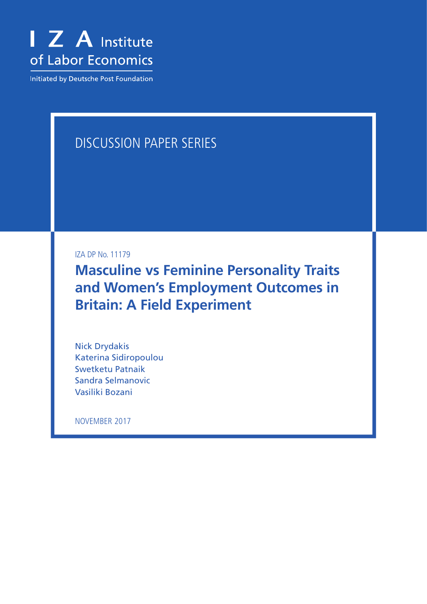

**Initiated by Deutsche Post Foundation** 

# DISCUSSION PAPER SERIES

IZA DP No. 11179

**Masculine vs Feminine Personality Traits and Women's Employment Outcomes in Britain: A Field Experiment**

Nick Drydakis Katerina Sidiropoulou Swetketu Patnaik Sandra Selmanovic Vasiliki Bozani

NOVEMBER 2017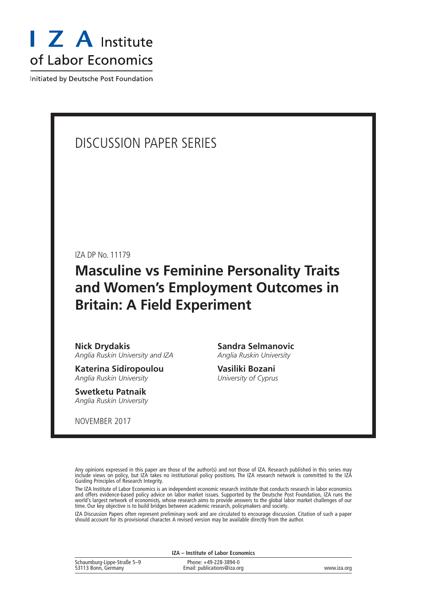

Initiated by Deutsche Post Foundation

### DISCUSSION PAPER SERIES

IZA DP No. 11179

## **Masculine vs Feminine Personality Traits and Women's Employment Outcomes in Britain: A Field Experiment**

**Nick Drydakis** *Anglia Ruskin University and IZA*

**Katerina Sidiropoulou** *Anglia Ruskin University*

**Swetketu Patnaik** *Anglia Ruskin University*

NOVEMBER 2017

**Sandra Selmanovic** *Anglia Ruskin University*

**Vasiliki Bozani** *University of Cyprus*

Any opinions expressed in this paper are those of the author(s) and not those of IZA. Research published in this series may include views on policy, but IZA takes no institutional policy positions. The IZA research network is committed to the IZA Guiding Principles of Research Integrity.

The IZA Institute of Labor Economics is an independent economic research institute that conducts research in labor economics and offers evidence-based policy advice on labor market issues. Supported by the Deutsche Post Foundation, IZA runs the world's largest network of economists, whose research aims to provide answers to the global labor market challenges of our time. Our key objective is to build bridges between academic research, policymakers and society.

IZA Discussion Papers often represent preliminary work and are circulated to encourage discussion. Citation of such a paper should account for its provisional character. A revised version may be available directly from the author.

**IZA – Institute of Labor Economics**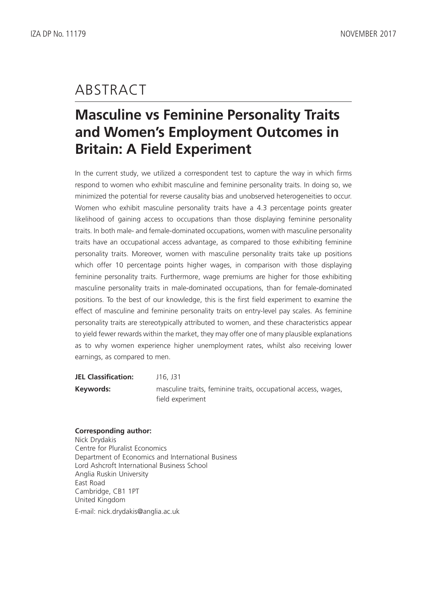# ABSTRACT

# **Masculine vs Feminine Personality Traits and Women's Employment Outcomes in Britain: A Field Experiment**

In the current study, we utilized a correspondent test to capture the way in which firms respond to women who exhibit masculine and feminine personality traits. In doing so, we minimized the potential for reverse causality bias and unobserved heterogeneities to occur. Women who exhibit masculine personality traits have a 4.3 percentage points greater likelihood of gaining access to occupations than those displaying feminine personality traits. In both male- and female-dominated occupations, women with masculine personality traits have an occupational access advantage, as compared to those exhibiting feminine personality traits. Moreover, women with masculine personality traits take up positions which offer 10 percentage points higher wages, in comparison with those displaying feminine personality traits. Furthermore, wage premiums are higher for those exhibiting masculine personality traits in male-dominated occupations, than for female-dominated positions. To the best of our knowledge, this is the first field experiment to examine the effect of masculine and feminine personality traits on entry-level pay scales. As feminine personality traits are stereotypically attributed to women, and these characteristics appear to yield fewer rewards within the market, they may offer one of many plausible explanations as to why women experience higher unemployment rates, whilst also receiving lower earnings, as compared to men.

| <b>JEL Classification:</b> | J16, J31                                                                           |
|----------------------------|------------------------------------------------------------------------------------|
| Keywords:                  | masculine traits, feminine traits, occupational access, wages,<br>field experiment |

#### **Corresponding author:**

Nick Drydakis Centre for Pluralist Economics Department of Economics and International Business Lord Ashcroft International Business School Anglia Ruskin University East Road Cambridge, CB1 1PT United Kingdom E-mail: nick.drydakis@anglia.ac.uk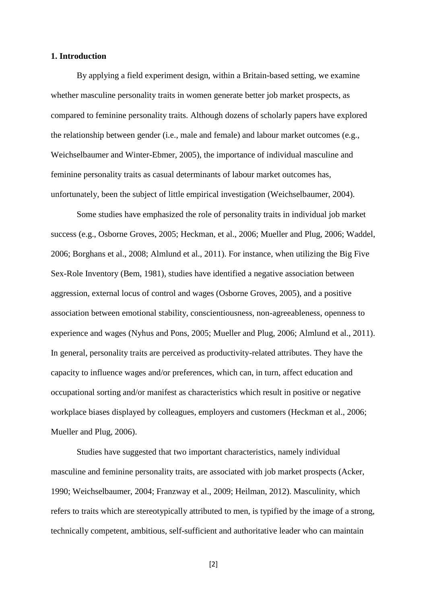#### **1. Introduction**

By applying a field experiment design, within a Britain-based setting, we examine whether masculine personality traits in women generate better job market prospects, as compared to feminine personality traits. Although dozens of scholarly papers have explored the relationship between gender (i.e., male and female) and labour market outcomes (e.g., Weichselbaumer and Winter-Ebmer, 2005), the importance of individual masculine and feminine personality traits as casual determinants of labour market outcomes has, unfortunately, been the subject of little empirical investigation (Weichselbaumer, 2004).

Some studies have emphasized the role of personality traits in individual job market success (e.g., Osborne Groves, 2005; Heckman, et al., 2006; Mueller and Plug, 2006; Waddel, 2006; Borghans et al., 2008; Almlund et al., 2011). For instance, when utilizing the Big Five Sex-Role Inventory (Bem, 1981), studies have identified a negative association between aggression, external locus of control and wages (Osborne Groves, 2005), and a positive association between emotional stability, conscientiousness, non-agreeableness, openness to experience and wages (Nyhus and Pons, 2005; Mueller and Plug, 2006; Almlund et al., 2011). In general, personality traits are perceived as productivity-related attributes. They have the capacity to influence wages and/or preferences, which can, in turn, affect education and occupational sorting and/or manifest as characteristics which result in positive or negative workplace biases displayed by colleagues, employers and customers (Heckman et al., 2006; Mueller and Plug, 2006).

Studies have suggested that two important characteristics, namely individual masculine and feminine personality traits, are associated with job market prospects (Acker, 1990; Weichselbaumer, 2004; Franzway et al., 2009; Heilman, 2012). Masculinity, which refers to traits which are stereotypically attributed to men, is typified by the image of a strong, technically competent, ambitious, self-sufficient and authoritative leader who can maintain

[2]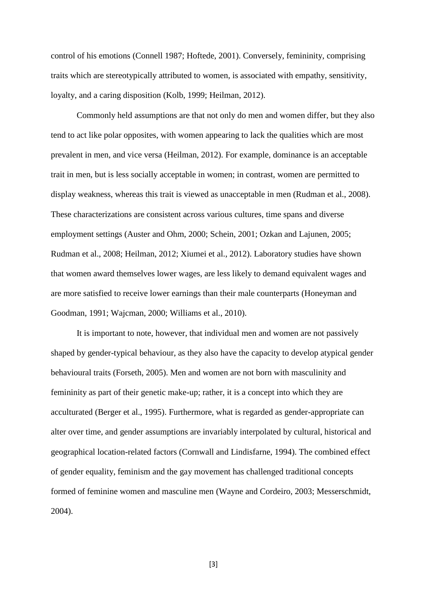control of his emotions (Connell 1987; Hoftede, 2001). Conversely, femininity, comprising traits which are stereotypically attributed to women, is associated with empathy, sensitivity, loyalty, and a caring disposition (Kolb, 1999; Heilman, 2012).

Commonly held assumptions are that not only do men and women differ, but they also tend to act like polar opposites, with women appearing to lack the qualities which are most prevalent in men, and vice versa (Heilman, 2012). For example, dominance is an acceptable trait in men, but is less socially acceptable in women; in contrast, women are permitted to display weakness, whereas this trait is viewed as unacceptable in men (Rudman et al., 2008). These characterizations are consistent across various cultures, time spans and diverse employment settings (Auster and Ohm, 2000; Schein, 2001; Ozkan and Lajunen, 2005; Rudman et al., 2008; Heilman, 2012; Xiumei et al., 2012). Laboratory studies have shown that women award themselves lower wages, are less likely to demand equivalent wages and are more satisfied to receive lower earnings than their male counterparts (Honeyman and Goodman, 1991; Wajcman, 2000; Williams et al., 2010).

It is important to note, however, that individual men and women are not passively shaped by gender-typical behaviour, as they also have the capacity to develop atypical gender behavioural traits (Forseth, 2005). Men and women are not born with masculinity and femininity as part of their genetic make-up; rather, it is a concept into which they are acculturated (Berger et al., 1995). Furthermore, what is regarded as gender-appropriate can alter over time, and gender assumptions are invariably interpolated by cultural, historical and geographical location-related factors (Cornwall and Lindisfarne, 1994). The combined effect of gender equality, feminism and the gay movement has challenged traditional concepts formed of feminine women and masculine men (Wayne and Cordeiro, 2003; Messerschmidt, 2004).

[3]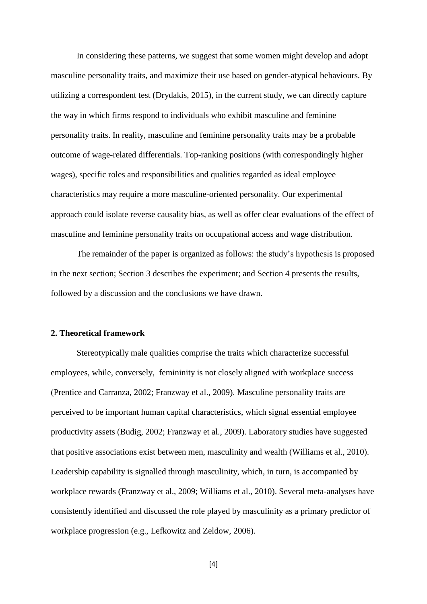In considering these patterns, we suggest that some women might develop and adopt masculine personality traits, and maximize their use based on gender-atypical behaviours. By utilizing a correspondent test (Drydakis, 2015), in the current study, we can directly capture the way in which firms respond to individuals who exhibit masculine and feminine personality traits. In reality, masculine and feminine personality traits may be a probable outcome of wage-related differentials. Top-ranking positions (with correspondingly higher wages), specific roles and responsibilities and qualities regarded as ideal employee characteristics may require a more masculine-oriented personality. Our experimental approach could isolate reverse causality bias, as well as offer clear evaluations of the effect of masculine and feminine personality traits on occupational access and wage distribution.

The remainder of the paper is organized as follows: the study's hypothesis is proposed in the next section; Section 3 describes the experiment; and Section 4 presents the results, followed by a discussion and the conclusions we have drawn.

#### **2. Theoretical framework**

Stereotypically male qualities comprise the traits which characterize successful employees, while, conversely, femininity is not closely aligned with workplace success (Prentice and Carranza, 2002; Franzway et al., 2009). Masculine personality traits are perceived to be important human capital characteristics, which signal essential employee productivity assets (Budig, 2002; Franzway et al., 2009). Laboratory studies have suggested that positive associations exist between men, masculinity and wealth (Williams et al., 2010). Leadership capability is signalled through masculinity, which, in turn, is accompanied by workplace rewards (Franzway et al., 2009; Williams et al., 2010). Several meta-analyses have consistently identified and discussed the role played by masculinity as a primary predictor of workplace progression (e.g., Lefkowitz and Zeldow, 2006).

[4]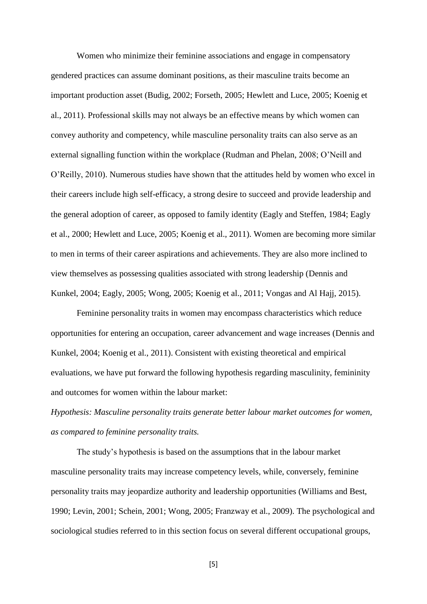Women who minimize their feminine associations and engage in compensatory gendered practices can assume dominant positions, as their masculine traits become an important production asset (Budig, 2002; Forseth, 2005; Hewlett and Luce, 2005; Koenig et al., 2011). Professional skills may not always be an effective means by which women can convey authority and competency, while masculine personality traits can also serve as an external signalling function within the workplace (Rudman and Phelan, 2008; O'Neill and O'Reilly, 2010). Numerous studies have shown that the attitudes held by women who excel in their careers include high self-efficacy, a strong desire to succeed and provide leadership and the general adoption of career, as opposed to family identity (Eagly and Steffen, 1984; Eagly et al., 2000; Hewlett and Luce, 2005; Koenig et al., 2011). Women are becoming more similar to men in terms of their career aspirations and achievements. They are also more inclined to view themselves as possessing qualities associated with strong leadership (Dennis and Kunkel, 2004; Eagly, 2005; Wong, 2005; Koenig et al., 2011; Vongas and Al Hajj, 2015).

Feminine personality traits in women may encompass characteristics which reduce opportunities for entering an occupation, career advancement and wage increases (Dennis and Kunkel, 2004; Koenig et al., 2011). Consistent with existing theoretical and empirical evaluations, we have put forward the following hypothesis regarding masculinity, femininity and outcomes for women within the labour market:

*Hypothesis: Masculine personality traits generate better labour market outcomes for women, as compared to feminine personality traits.* 

The study's hypothesis is based on the assumptions that in the labour market masculine personality traits may increase competency levels, while, conversely, feminine personality traits may jeopardize authority and leadership opportunities (Williams and Best, 1990; Levin, 2001; Schein, 2001; Wong, 2005; Franzway et al., 2009). The psychological and sociological studies referred to in this section focus on several different occupational groups,

[5]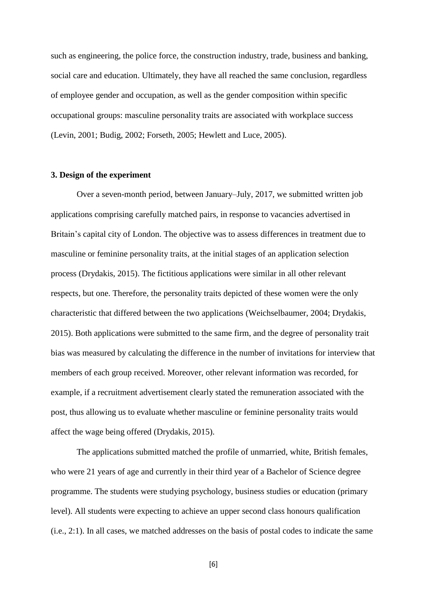such as engineering, the police force, the construction industry, trade, business and banking, social care and education. Ultimately, they have all reached the same conclusion, regardless of employee gender and occupation, as well as the gender composition within specific occupational groups: masculine personality traits are associated with workplace success (Levin, 2001; Budig, 2002; Forseth, 2005; Hewlett and Luce, 2005).

#### **3. Design of the experiment**

Over a seven-month period, between January–July, 2017, we submitted written job applications comprising carefully matched pairs, in response to vacancies advertised in Britain's capital city of London. The objective was to assess differences in treatment due to masculine or feminine personality traits, at the initial stages of an application selection process (Drydakis, 2015). The fictitious applications were similar in all other relevant respects, but one. Therefore, the personality traits depicted of these women were the only characteristic that differed between the two applications (Weichselbaumer, 2004; Drydakis, 2015). Both applications were submitted to the same firm, and the degree of personality trait bias was measured by calculating the difference in the number of invitations for interview that members of each group received. Moreover, other relevant information was recorded, for example, if a recruitment advertisement clearly stated the remuneration associated with the post, thus allowing us to evaluate whether masculine or feminine personality traits would affect the wage being offered (Drydakis, 2015).

The applications submitted matched the profile of unmarried, white, British females, who were 21 years of age and currently in their third year of a Bachelor of Science degree programme. The students were studying psychology, business studies or education (primary level). All students were expecting to achieve an upper second class honours qualification (i.e., 2:1). In all cases, we matched addresses on the basis of postal codes to indicate the same

[6]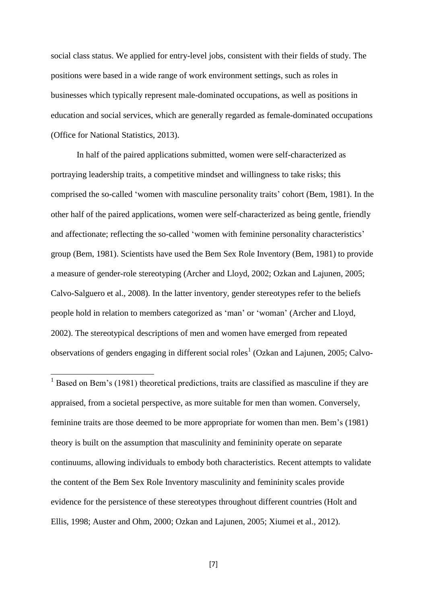social class status. We applied for entry-level jobs, consistent with their fields of study. The positions were based in a wide range of work environment settings, such as roles in businesses which typically represent male-dominated occupations, as well as positions in education and social services, which are generally regarded as female-dominated occupations (Office for National Statistics, 2013).

In half of the paired applications submitted, women were self-characterized as portraying leadership traits, a competitive mindset and willingness to take risks; this comprised the so-called 'women with masculine personality traits' cohort (Bem, 1981). In the other half of the paired applications, women were self-characterized as being gentle, friendly and affectionate; reflecting the so-called 'women with feminine personality characteristics' group (Bem, 1981). Scientists have used the Bem Sex Role Inventory (Bem, 1981) to provide a measure of gender-role stereotyping (Archer and Lloyd, 2002; Ozkan and Lajunen, 2005; Calvo-Salguero et al., 2008). In the latter inventory, gender stereotypes refer to the beliefs people hold in relation to members categorized as 'man' or 'woman' (Archer and Lloyd, 2002). The stereotypical descriptions of men and women have emerged from repeated observations of genders engaging in different social roles<sup>1</sup> (Ozkan and Lajunen, 2005; Calvo-

 $1$  Based on Bem's (1981) theoretical predictions, traits are classified as masculine if they are appraised, from a societal perspective, as more suitable for men than women. Conversely, feminine traits are those deemed to be more appropriate for women than men. Bem's (1981) theory is built on the assumption that masculinity and femininity operate on separate continuums, allowing individuals to embody both characteristics. Recent attempts to validate the content of the Bem Sex Role Inventory masculinity and femininity scales provide evidence for the persistence of these stereotypes throughout different countries (Holt and Ellis, 1998; Auster and Ohm, 2000; Ozkan and Lajunen, 2005; Xiumei et al., 2012).

 $\overline{\phantom{a}}$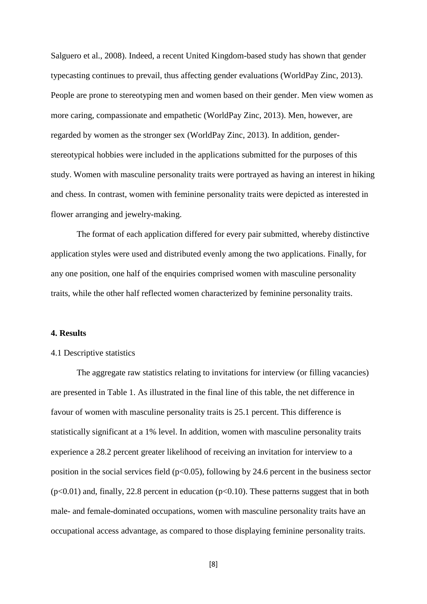Salguero et al., 2008). Indeed, a recent United Kingdom-based study has shown that gender typecasting continues to prevail, thus affecting gender evaluations (WorldPay Zinc, 2013). People are prone to stereotyping men and women based on their gender. Men view women as more caring, compassionate and empathetic (WorldPay Zinc, 2013). Men, however, are regarded by women as the stronger sex (WorldPay Zinc, 2013). In addition, genderstereotypical hobbies were included in the applications submitted for the purposes of this study. Women with masculine personality traits were portrayed as having an interest in hiking and chess. In contrast, women with feminine personality traits were depicted as interested in flower arranging and jewelry-making.

The format of each application differed for every pair submitted, whereby distinctive application styles were used and distributed evenly among the two applications. Finally, for any one position, one half of the enquiries comprised women with masculine personality traits, while the other half reflected women characterized by feminine personality traits.

#### **4. Results**

### 4.1 Descriptive statistics

The aggregate raw statistics relating to invitations for interview (or filling vacancies) are presented in Table 1. As illustrated in the final line of this table, the net difference in favour of women with masculine personality traits is 25.1 percent. This difference is statistically significant at a 1% level. In addition, women with masculine personality traits experience a 28.2 percent greater likelihood of receiving an invitation for interview to a position in the social services field ( $p<0.05$ ), following by 24.6 percent in the business sector  $(p<0.01)$  and, finally, 22.8 percent in education  $(p<0.10)$ . These patterns suggest that in both male- and female-dominated occupations, women with masculine personality traits have an occupational access advantage, as compared to those displaying feminine personality traits.

[8]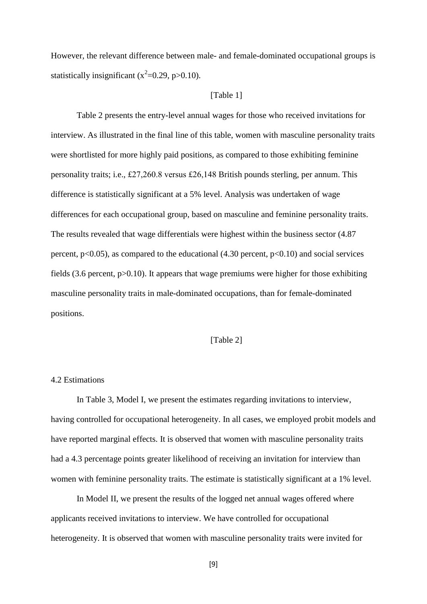However, the relevant difference between male- and female-dominated occupational groups is statistically insignificant ( $x^2$ =0.29, p>0.10).

#### [Table 1]

Table 2 presents the entry-level annual wages for those who received invitations for interview. As illustrated in the final line of this table, women with masculine personality traits were shortlisted for more highly paid positions, as compared to those exhibiting feminine personality traits; i.e., £27,260.8 versus £26,148 British pounds sterling, per annum. This difference is statistically significant at a 5% level. Analysis was undertaken of wage differences for each occupational group, based on masculine and feminine personality traits. The results revealed that wage differentials were highest within the business sector (4.87 percent,  $p<0.05$ ), as compared to the educational (4.30 percent,  $p<0.10$ ) and social services fields (3.6 percent,  $p > 0.10$ ). It appears that wage premiums were higher for those exhibiting masculine personality traits in male-dominated occupations, than for female-dominated positions.

### [Table 2]

#### 4.2 Estimations

In Table 3, Model I, we present the estimates regarding invitations to interview, having controlled for occupational heterogeneity. In all cases, we employed probit models and have reported marginal effects. It is observed that women with masculine personality traits had a 4.3 percentage points greater likelihood of receiving an invitation for interview than women with feminine personality traits. The estimate is statistically significant at a 1% level.

In Model II, we present the results of the logged net annual wages offered where applicants received invitations to interview. We have controlled for occupational heterogeneity. It is observed that women with masculine personality traits were invited for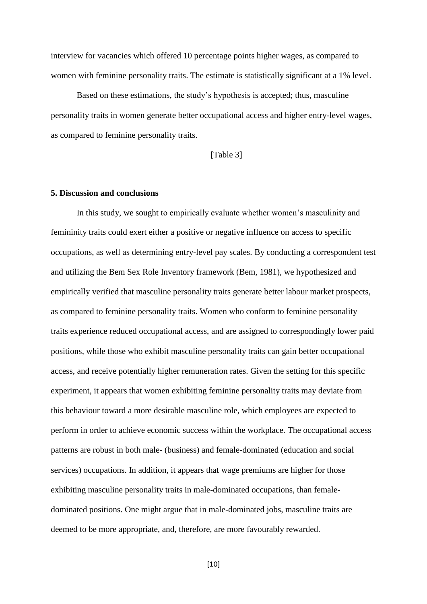interview for vacancies which offered 10 percentage points higher wages, as compared to women with feminine personality traits. The estimate is statistically significant at a 1% level.

Based on these estimations, the study's hypothesis is accepted; thus, masculine personality traits in women generate better occupational access and higher entry-level wages, as compared to feminine personality traits.

[Table 3]

#### **5. Discussion and conclusions**

In this study, we sought to empirically evaluate whether women's masculinity and femininity traits could exert either a positive or negative influence on access to specific occupations, as well as determining entry-level pay scales. By conducting a correspondent test and utilizing the Bem Sex Role Inventory framework (Bem, 1981), we hypothesized and empirically verified that masculine personality traits generate better labour market prospects, as compared to feminine personality traits. Women who conform to feminine personality traits experience reduced occupational access, and are assigned to correspondingly lower paid positions, while those who exhibit masculine personality traits can gain better occupational access, and receive potentially higher remuneration rates. Given the setting for this specific experiment, it appears that women exhibiting feminine personality traits may deviate from this behaviour toward a more desirable masculine role, which employees are expected to perform in order to achieve economic success within the workplace. The occupational access patterns are robust in both male- (business) and female-dominated (education and social services) occupations. In addition, it appears that wage premiums are higher for those exhibiting masculine personality traits in male-dominated occupations, than femaledominated positions. One might argue that in male-dominated jobs, masculine traits are deemed to be more appropriate, and, therefore, are more favourably rewarded.

[10]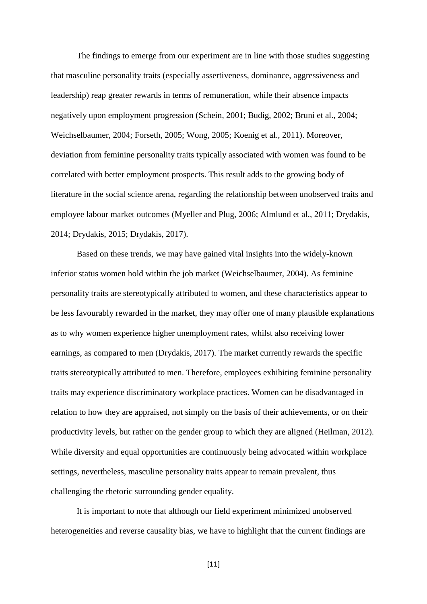The findings to emerge from our experiment are in line with those studies suggesting that masculine personality traits (especially assertiveness, dominance, aggressiveness and leadership) reap greater rewards in terms of remuneration, while their absence impacts negatively upon employment progression (Schein, 2001; Budig, 2002; Bruni et al., 2004; Weichselbaumer, 2004; Forseth, 2005; Wong, 2005; Koenig et al., 2011). Moreover, deviation from feminine personality traits typically associated with women was found to be correlated with better employment prospects. This result adds to the growing body of literature in the social science arena, regarding the relationship between unobserved traits and employee labour market outcomes (Myeller and Plug, 2006; Almlund et al., 2011; Drydakis, 2014; Drydakis, 2015; Drydakis, 2017).

Based on these trends, we may have gained vital insights into the widely-known inferior status women hold within the job market (Weichselbaumer, 2004). As feminine personality traits are stereotypically attributed to women, and these characteristics appear to be less favourably rewarded in the market, they may offer one of many plausible explanations as to why women experience higher unemployment rates, whilst also receiving lower earnings, as compared to men (Drydakis, 2017). The market currently rewards the specific traits stereotypically attributed to men. Therefore, employees exhibiting feminine personality traits may experience discriminatory workplace practices. Women can be disadvantaged in relation to how they are appraised, not simply on the basis of their achievements, or on their productivity levels, but rather on the gender group to which they are aligned (Heilman, 2012). While diversity and equal opportunities are continuously being advocated within workplace settings, nevertheless, masculine personality traits appear to remain prevalent, thus challenging the rhetoric surrounding gender equality.

It is important to note that although our field experiment minimized unobserved heterogeneities and reverse causality bias, we have to highlight that the current findings are

[11]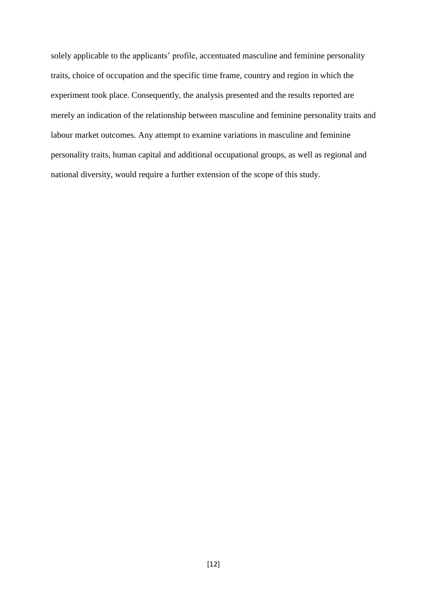solely applicable to the applicants' profile, accentuated masculine and feminine personality traits, choice of occupation and the specific time frame, country and region in which the experiment took place. Consequently, the analysis presented and the results reported are merely an indication of the relationship between masculine and feminine personality traits and labour market outcomes. Any attempt to examine variations in masculine and feminine personality traits, human capital and additional occupational groups, as well as regional and national diversity, would require a further extension of the scope of this study.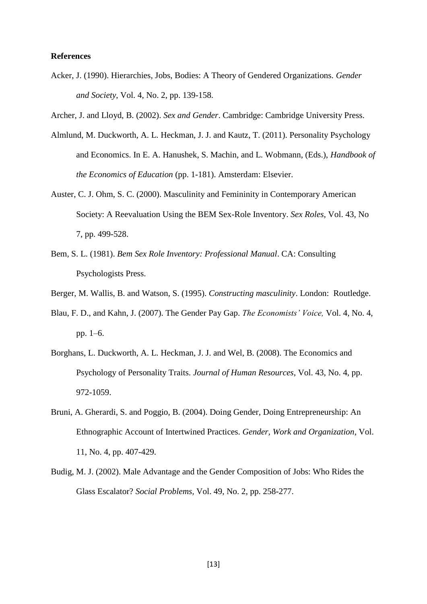#### **References**

- Acker, J. (1990). Hierarchies, Jobs, Bodies: A Theory of Gendered Organizations. *Gender and Society*, Vol. 4, No. 2, pp. 139-158.
- Archer, J. and Lloyd, B. (2002). *Sex and Gender*. Cambridge: Cambridge University Press.
- Almlund, M. Duckworth, A. L. Heckman, J. J. and Kautz, T. (2011). Personality Psychology and Economics. In E. A. Hanushek, S. Machin, and L. Wobmann, (Eds.), *Handbook of the Economics of Education* (pp. 1-181). Amsterdam: Elsevier.
- Auster, C. J. Ohm, S. C. (2000). Masculinity and Femininity in Contemporary American Society: A Reevaluation Using the BEM Sex-Role Inventory. *Sex Roles*, Vol. 43, No 7, pp. 499-528.
- Bem, S. L. (1981). *Bem Sex Role Inventory: Professional Manual*. CA: Consulting Psychologists Press.
- Berger, M. Wallis, B. and Watson, S. (1995). *Constructing masculinity*. London: Routledge.
- Blau, F. D., and Kahn, J. (2007). The Gender Pay Gap. *The Economists' Voice,* Vol. 4, No. 4, pp. 1–6.
- Borghans, L. Duckworth, A. L. Heckman, J. J. and Wel, B. (2008). The Economics and Psychology of Personality Traits. *Journal of Human Resources*, Vol. 43, No. 4, pp. 972-1059.
- Bruni, A. Gherardi, S. and Poggio, B. (2004). Doing Gender, Doing Entrepreneurship: An Ethnographic Account of Intertwined Practices. *Gender, Work and Organization*, Vol. 11, No. 4, pp. 407-429.
- Budig, M. J. (2002). Male Advantage and the Gender Composition of Jobs: Who Rides the Glass Escalator? *Social Problems,* Vol. 49, No. 2, pp. 258-277.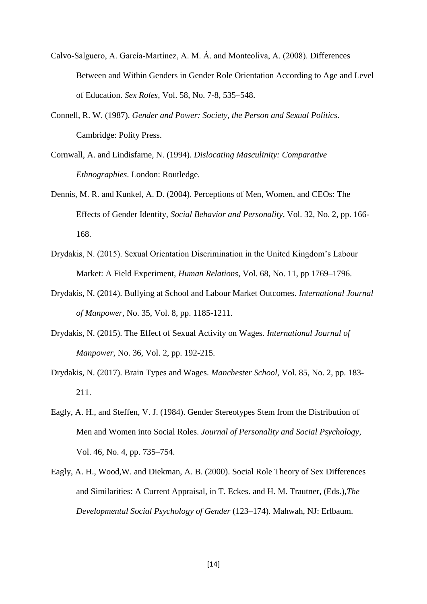- Calvo-Salguero, A. García-Martínez, A. M. Á. and Monteoliva, A. (2008). Differences Between and Within Genders in Gender Role Orientation According to Age and Level of Education. *Sex Roles*, Vol. 58, No. 7-8, 535–548.
- Connell, R. W. (1987). *Gender and Power: Society, the Person and Sexual Politics*. Cambridge: Polity Press.
- Cornwall, A. and Lindisfarne, N. (1994). *Dislocating Masculinity: Comparative Ethnographies*. London: Routledge.
- Dennis, M. R. and Kunkel, A. D. (2004). Perceptions of Men, Women, and CEOs: The Effects of Gender Identity, *Social Behavior and Personality*, Vol. 32, No. 2, pp. 166- 168.
- Drydakis, N. (2015). Sexual Orientation Discrimination in the United Kingdom's Labour Market: A Field Experiment, *Human Relations*, Vol. 68, No. 11, pp 1769–1796.
- Drydakis, N. (2014). Bullying at School and Labour Market Outcomes. *International Journal of Manpower,* No. 35, Vol. 8, pp. 1185-1211.
- Drydakis, N. (2015). The Effect of Sexual Activity on Wages. *International Journal of Manpower,* No. 36, Vol. 2, pp. 192-215.
- Drydakis, N. (2017). Brain Types and Wages. *Manchester School*, Vol. 85, No. 2, pp. 183- 211.
- Eagly, A. H., and Steffen, V. J. (1984). Gender Stereotypes Stem from the Distribution of Men and Women into Social Roles. *Journal of Personality and Social Psychology*, Vol. 46, No. 4, pp. 735–754.
- Eagly, A. H., Wood,W. and Diekman, A. B. (2000). Social Role Theory of Sex Differences and Similarities: A Current Appraisal, in T. Eckes. and H. M. Trautner, (Eds.),*The Developmental Social Psychology of Gender* (123–174). Mahwah, NJ: Erlbaum.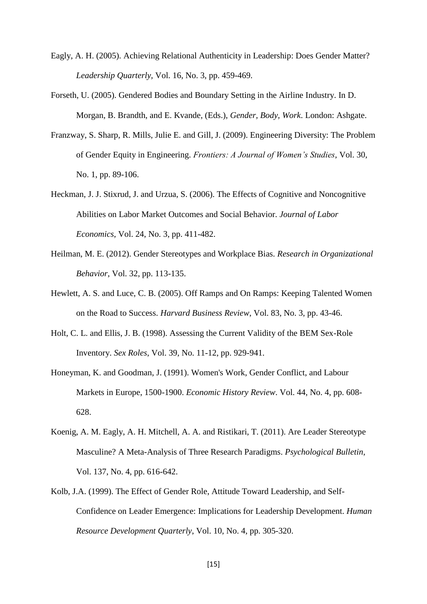- Eagly, A. H. (2005). Achieving Relational Authenticity in Leadership: Does Gender Matter? *Leadership Quarterly,* Vol. 16, No. 3, pp. 459-469.
- Forseth, U. (2005). Gendered Bodies and Boundary Setting in the Airline Industry. In D. Morgan, B. Brandth, and E. Kvande, (Eds.), *Gender, Body, Work*. London: Ashgate.
- Franzway, S. Sharp, R. Mills, Julie E. and Gill, J. (2009). Engineering Diversity: The Problem of Gender Equity in Engineering. *Frontiers: A Journal of Women's Studies*, Vol. 30, No. 1, pp. 89-106.
- Heckman, J. J. Stixrud, J. and Urzua, S. (2006). The Effects of Cognitive and Noncognitive Abilities on Labor Market Outcomes and Social Behavior. *Journal of Labor Economics*, Vol. 24, No. 3, pp. 411-482.
- Heilman, M. E. (2012). Gender Stereotypes and Workplace Bias*. Research in Organizational Behavior*, Vol. 32, pp. 113-135.
- Hewlett, A. S. and Luce, C. B. (2005). Off Ramps and On Ramps: Keeping Talented Women on the Road to Success. *Harvard Business Review*, Vol. 83, No. 3, pp. 43-46.
- Holt, C. L. and Ellis, J. B. (1998). Assessing the Current Validity of the BEM Sex-Role Inventory. *Sex Roles*, Vol. 39, No. 11-12, pp. 929-941.
- Honeyman, K. and Goodman, J. (1991). Women's Work, Gender Conflict, and Labour Markets in Europe, 1500-1900. *Economic History Review*. Vol. 44, No. 4, pp. 608- 628.
- Koenig, A. M. Eagly, A. H. Mitchell, A. A. and Ristikari, T. (2011). Are Leader Stereotype Masculine? A Meta-Analysis of Three Research Paradigms. *Psychological Bulletin*, Vol. 137, No. 4, pp. 616-642.
- Kolb, J.A. (1999). The Effect of Gender Role, Attitude Toward Leadership, and Self-Confidence on Leader Emergence: Implications for Leadership Development. *Human Resource Development Quarterly*, Vol. 10, No. 4, pp. 305-320.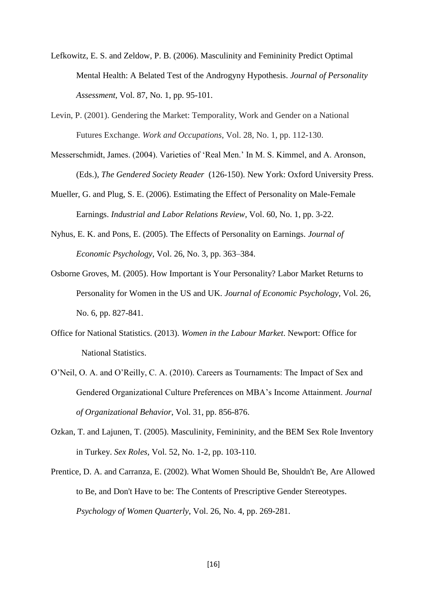- Lefkowitz, E. S. and Zeldow, P. B. (2006). Masculinity and Femininity Predict Optimal Mental Health: A Belated Test of the Androgyny Hypothesis. *Journal of Personality Assessment*, Vol. 87, No. 1, pp. 95-101.
- Levin, P. (2001). Gendering the Market: Temporality, Work and Gender on a National Futures Exchange. *Work and Occupations*, Vol. 28, No. 1, pp. 112-130.
- Messerschmidt, James. (2004). Varieties of 'Real Men.' In M. S. Kimmel, and A. Aronson, (Eds.), *The Gendered Society Reader* (126-150). New York: Oxford University Press.
- Mueller, G. and Plug, S. E. (2006). Estimating the Effect of Personality on Male-Female Earnings. *Industrial and Labor Relations Review*, Vol. 60, No. 1, pp. 3-22.
- Nyhus, E. K. and Pons, E. (2005). The Effects of Personality on Earnings. *Journal of Economic Psychology*, Vol. 26, No. 3, pp. 363–384.
- Osborne Groves, M. (2005). How Important is Your Personality? Labor Market Returns to Personality for Women in the US and UK. *Journal of Economic Psychology*, Vol. 26, No. 6, pp. 827-841.
- Office for National Statistics. (2013). *Women in the Labour Market*. Newport: Office for National Statistics.
- O'Neil, O. A. and O'Reilly, C. A. (2010). Careers as Tournaments: The Impact of Sex and Gendered Organizational Culture Preferences on MBA's Income Attainment. *Journal of Organizational Behavior*, Vol. 31, pp. 856-876.
- Ozkan, T. and Lajunen, T. (2005). Masculinity, Femininity, and the BEM Sex Role Inventory in Turkey. *Sex Roles*, Vol. 52, No. 1-2, pp. 103-110.
- Prentice, D. A. and Carranza, E. (2002). What Women Should Be, Shouldn't Be, Are Allowed to Be, and Don't Have to be: The Contents of Prescriptive Gender Stereotypes. *Psychology of Women Quarterly*, Vol. 26, No. 4, pp. 269-281.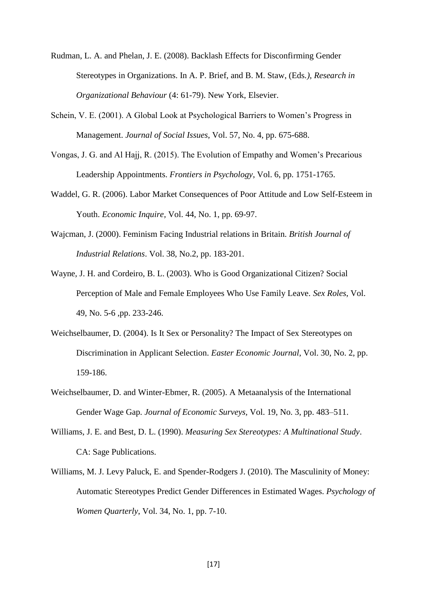- Rudman, L. A. and Phelan, J. E. (2008). Backlash Effects for Disconfirming Gender Stereotypes in Organizations. In A. P. Brief, and B. M. Staw, (Eds*.), Research in Organizational Behaviour* (4: 61-79). New York, Elsevier.
- Schein, V. E. (2001). A Global Look at Psychological Barriers to Women's Progress in Management. *Journal of Social Issues*, Vol. 57, No. 4, pp. 675-688.
- Vongas, J. G. and Al Hajj, R. (2015). The Evolution of Empathy and Women's Precarious Leadership Appointments. *Frontiers in Psychology*, Vol. 6, pp. 1751-1765.
- Waddel, G. R. (2006). Labor Market Consequences of Poor Attitude and Low Self-Esteem in Youth. *Economic Inquire,* Vol. 44, No. 1, pp. 69-97.
- Wajcman, J. (2000). Feminism Facing Industrial relations in Britain. *British Journal of Industrial Relations*. Vol. 38, No.2, pp. 183-201.
- Wayne, J. H. and Cordeiro, B. L. (2003). Who is Good Organizational Citizen? Social Perception of Male and Female Employees Who Use Family Leave. *Sex Roles*, Vol. 49, No. 5-6 ,pp. 233-246.
- Weichselbaumer, D. (2004). Is It Sex or Personality? The Impact of Sex Stereotypes on Discrimination in Applicant Selection. *Easter Economic Journal*, Vol. 30, No. 2, pp. 159-186.
- Weichselbaumer, D. and Winter-Ebmer, R. (2005). A Metaanalysis of the International Gender Wage Gap. *Journal of Economic Surveys,* Vol. 19, No. 3, pp. 483–511.
- Williams, J. E. and Best, D. L. (1990). *Measuring Sex Stereotypes: A Multinational Study*. CA: Sage Publications.
- Williams, M. J. Levy Paluck, E. and Spender-Rodgers J. (2010). The Masculinity of Money: Automatic Stereotypes Predict Gender Differences in Estimated Wages. *Psychology of Women Quarterly*, Vol. 34, No. 1, pp. 7-10.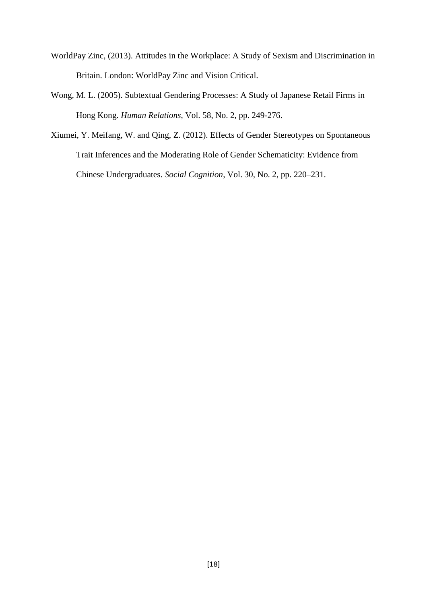- WorldPay Zinc, (2013). Attitudes in the Workplace: A Study of Sexism and Discrimination in Britain. London: WorldPay Zinc and Vision Critical.
- Wong, M. L. (2005). Subtextual Gendering Processes: A Study of Japanese Retail Firms in Hong Kong. *Human Relations*, Vol. 58, No. 2, pp. 249-276.
- Xiumei, Y. Meifang, W. and Qing, Z. (2012). Effects of Gender Stereotypes on Spontaneous Trait Inferences and the Moderating Role of Gender Schematicity: Evidence from Chinese Undergraduates. *Social Cognition*, Vol. 30, No. 2, pp. 220–231.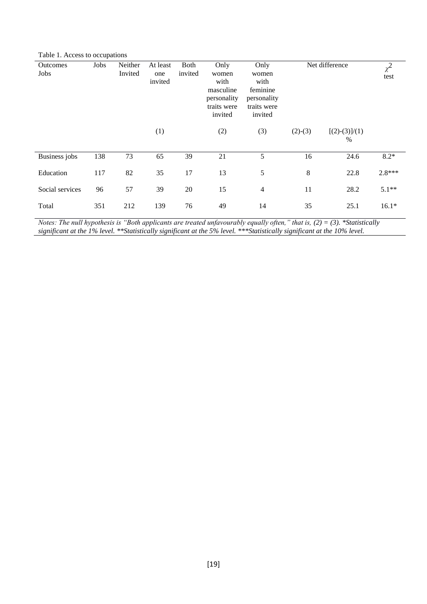Table 1. Access to occupations

| <b>Outcomes</b><br>Jobs | Jobs | Neither<br>Invited | At least<br>one<br>invited | Both<br>invited | Only<br>women<br>with<br>masculine<br>personality<br>traits were<br>invited | Only<br>women<br>with<br>feminine<br>personality<br>traits were<br>invited | Net difference |                         | $\chi^2$<br>test |
|-------------------------|------|--------------------|----------------------------|-----------------|-----------------------------------------------------------------------------|----------------------------------------------------------------------------|----------------|-------------------------|------------------|
|                         |      |                    | (1)                        |                 | (2)                                                                         | (3)                                                                        | $(2)-(3)$      | $[(2)-(3)]/(1)$<br>$\%$ |                  |
| <b>Business</b> jobs    | 138  | 73                 | 65                         | 39              | 21                                                                          | 5                                                                          | 16             | 24.6                    | $8.2*$           |
| Education               | 117  | 82                 | 35                         | 17              | 13                                                                          | 5                                                                          | 8              | 22.8                    | $2.8***$         |
| Social services         | 96   | 57                 | 39                         | 20              | 15                                                                          | $\overline{4}$                                                             | 11             | 28.2                    | $5.1**$          |
| Total                   | 351  | 212                | 139                        | 76              | 49                                                                          | 14                                                                         | 35             | 25.1                    | $16.1*$          |

*Notes: The null hypothesis is "Both applicants are treated unfavourably equally often," that is, (2) = (3). \*Statistically significant at the 1% level. \*\*Statistically significant at the 5% level. \*\*\*Statistically significant at the 10% level.*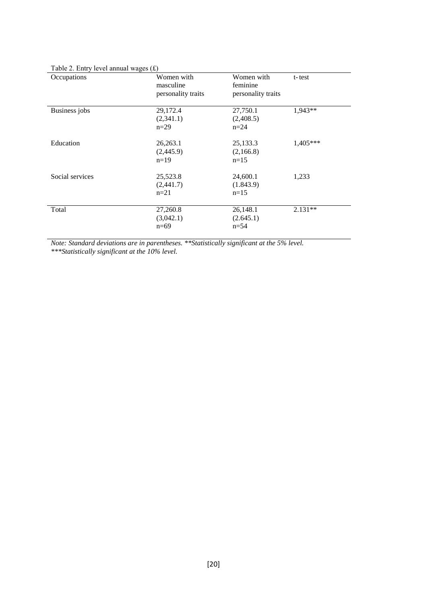| $1000$ $\approx$ . $2000$ y it is allegated with $\approx$<br>Occupations | Women with         | Women with         |            |  |
|---------------------------------------------------------------------------|--------------------|--------------------|------------|--|
|                                                                           |                    |                    | t-test     |  |
|                                                                           | masculine          | feminine           |            |  |
|                                                                           | personality traits | personality traits |            |  |
|                                                                           |                    |                    |            |  |
| Business jobs                                                             | 29,172.4           | 27,750.1           | 1,943**    |  |
|                                                                           | (2,341.1)          | (2,408.5)          |            |  |
|                                                                           | $n=29$             | $n=24$             |            |  |
|                                                                           |                    |                    |            |  |
| Education                                                                 | 26,263.1           | 25,133.3           | $1,405***$ |  |
|                                                                           | (2,445.9)          | (2,166.8)          |            |  |
|                                                                           | $n=19$             | $n=15$             |            |  |
|                                                                           |                    |                    |            |  |
| Social services                                                           | 25,523.8           | 24,600.1           | 1,233      |  |
|                                                                           | (2,441.7)          | (1.843.9)          |            |  |
|                                                                           | $n=21$             | $n=15$             |            |  |
|                                                                           |                    |                    |            |  |
| Total                                                                     | 27,260.8           | 26,148.1           | $2.131**$  |  |
|                                                                           |                    |                    |            |  |
|                                                                           | (3,042.1)          | (2.645.1)          |            |  |
|                                                                           | $n=69$             | $n = 54$           |            |  |
|                                                                           |                    |                    |            |  |

### Table 2. Entry level annual wages (£)

*Note: Standard deviations are in parentheses. \*\*Statistically significant at the 5% level.* 

*\*\*\*Statistically significant at the 10% level.*